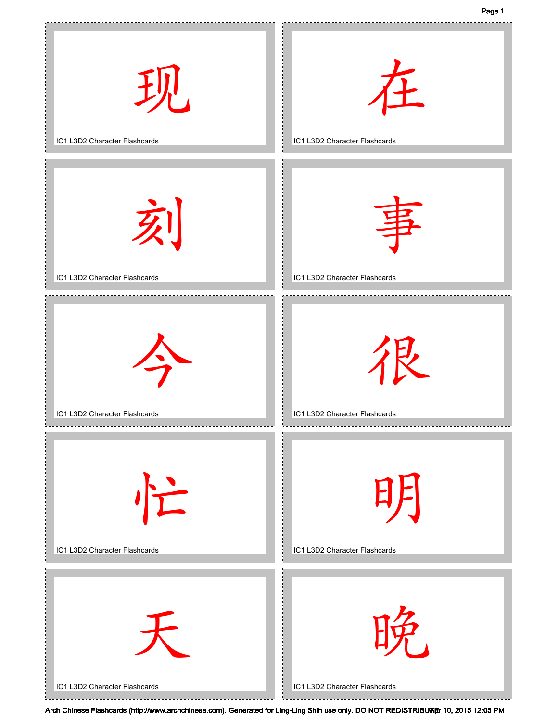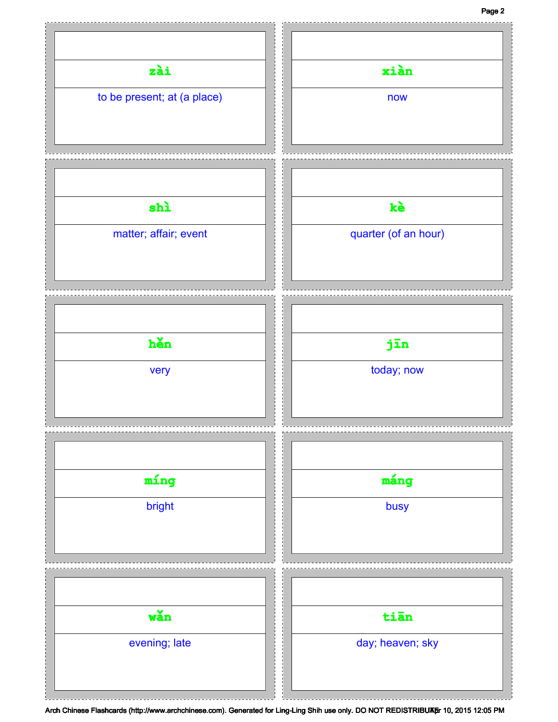## Page 2

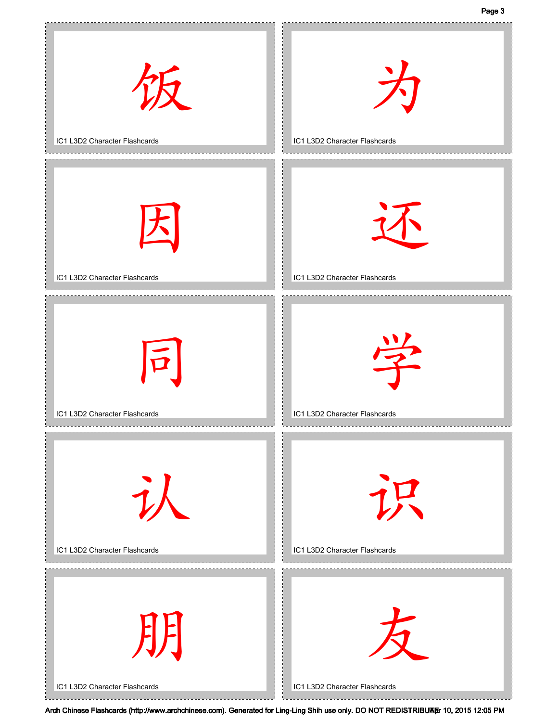